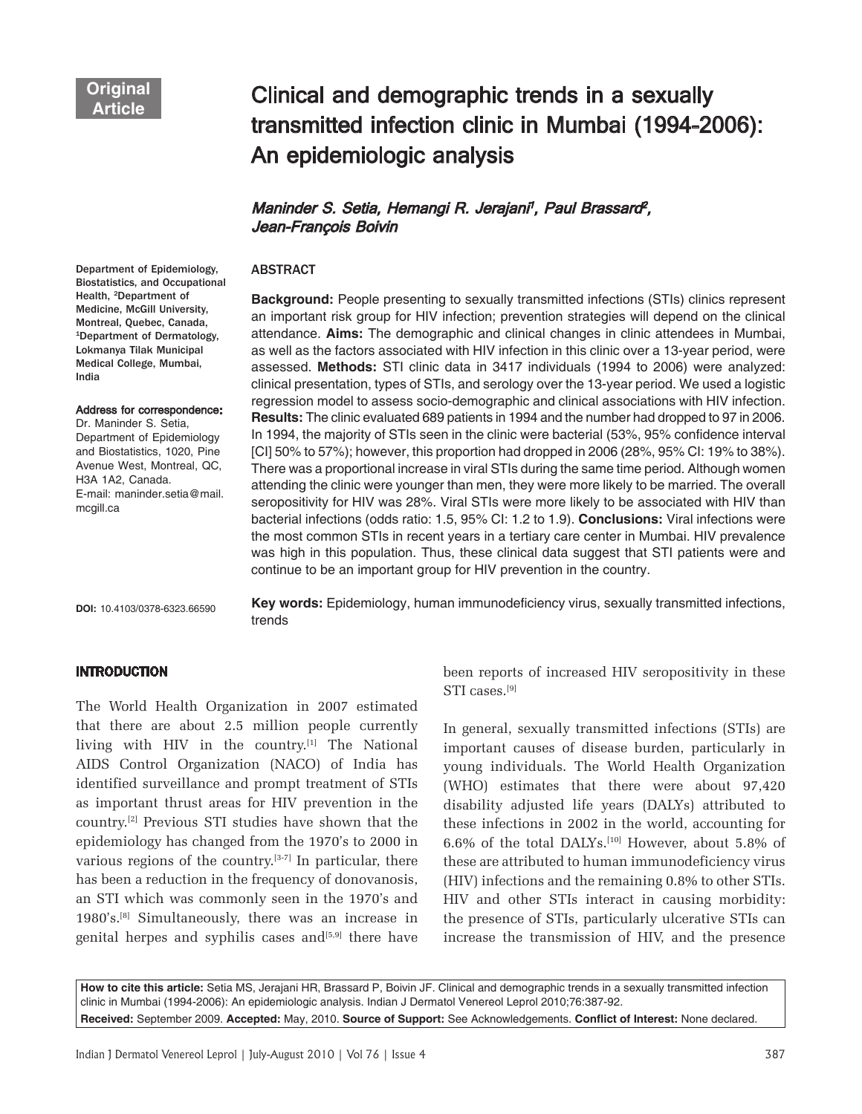Department of Epidemiology,

India

mcgill.ca

# Clinical and demographic trends in a sexually transmitted infection clinic in Mumbai (1994-2006): An epidemiologic analysis

# Maninder S. Setia, Hemangi R. Jerajani<sup>1</sup>, Paul Brassard<sup>2</sup>, Jean-François Boivin

# ABSTRACT

Biostatistics, and Occupational Health, 2Department of Medicine, McGill University, Montreal, Quebec, Canada, 1Department of Dermatology, Lokmanya Tilak Municipal Medical College, Mumbai, Address for correspondence: Dr. Maninder S. Setia, Department of Epidemiology and Biostatistics, 1020, Pine Avenue West, Montreal, QC, H3A 1A2, Canada. E-mail: maninder.setia@mail.

**Background:** People presenting to sexually transmitted infections (STIs) clinics represent an important risk group for HIV infection; prevention strategies will depend on the clinical attendance. **Aims:** The demographic and clinical changes in clinic attendees in Mumbai, as well as the factors associated with HIV infection in this clinic over a 13-year period, were assessed. **Methods:** STI clinic data in 3417 individuals (1994 to 2006) were analyzed: clinical presentation, types of STIs, and serology over the 13-year period. We used a logistic regression model to assess socio-demographic and clinical associations with HIV infection. **Results:** The clinic evaluated 689 patients in 1994 and the number had dropped to 97 in 2006. In 1994, the majority of STIs seen in the clinic were bacterial (53%, 95% confidence interval [CI] 50% to 57%); however, this proportion had dropped in 2006 (28%, 95% CI: 19% to 38%). There was a proportional increase in viral STIs during the same time period. Although women attending the clinic were younger than men, they were more likely to be married. The overall seropositivity for HIV was 28%. Viral STIs were more likely to be associated with HIV than bacterial infections (odds ratio: 1.5, 95% CI: 1.2 to 1.9). **Conclusions:** Viral infections were the most common STIs in recent years in a tertiary care center in Mumbai. HIV prevalence was high in this population. Thus, these clinical data suggest that STI patients were and continue to be an important group for HIV prevention in the country.

**DOI:** 10.4103/0378-6323.66590

**Key words:** Epidemiology, human immunodeficiency virus, sexually transmitted infections, trends

## INTRODUCTION

The World Health Organization in 2007 estimated that there are about 2.5 million people currently living with HIV in the country.<sup>[1]</sup> The National AIDS Control Organization (NACO) of India has identified surveillance and prompt treatment of STIs as important thrust areas for HIV prevention in the country.[2] Previous STI studies have shown that the epidemiology has changed from the 1970's to 2000 in various regions of the country.[3-7] In particular, there has been a reduction in the frequency of donovanosis, an STI which was commonly seen in the 1970's and 1980's.[8] Simultaneously, there was an increase in genital herpes and syphilis cases and $[5,9]$  there have

been reports of increased HIV seropositivity in these STI cases.[9]

In general, sexually transmitted infections (STIs) are important causes of disease burden, particularly in young individuals. The World Health Organization (WHO) estimates that there were about 97,420 disability adjusted life years (DALYs) attributed to these infections in 2002 in the world, accounting for 6.6% of the total DALYs.<sup>[10]</sup> However, about 5.8% of these are attributed to human immunodeficiency virus (HIV) infections and the remaining 0.8% to other STIs. HIV and other STIs interact in causing morbidity: the presence of STIs, particularly ulcerative STIs can increase the transmission of HIV, and the presence

**How to cite this article:** Setia MS, Jerajani HR, Brassard P, Boivin JF. Clinical and demographic trends in a sexually transmitted infection clinic in Mumbai (1994-2006): An epidemiologic analysis. Indian J Dermatol Venereol Leprol 2010;76:387-92.

**Received:** September 2009. **Accepted:** May, 2010. **Source of Support:** See Acknowledgements. **Conflict of Interest:** None declared.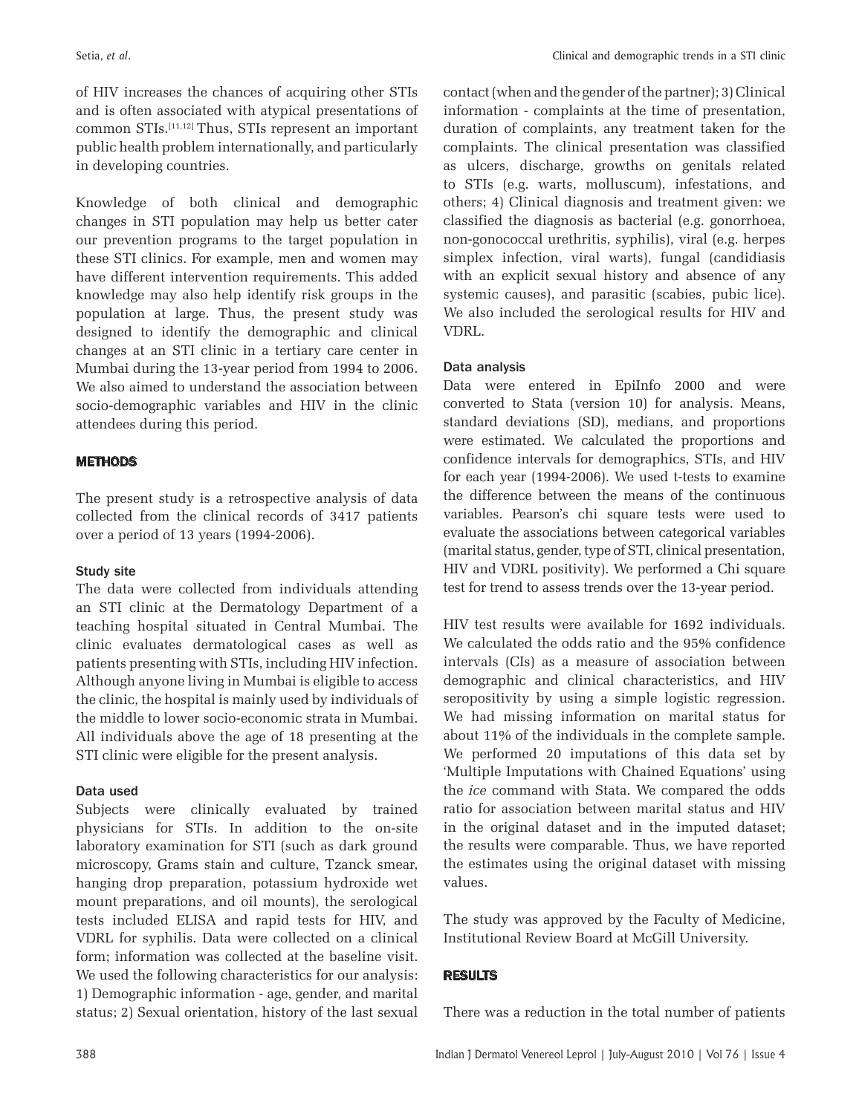of HIV increases the chances of acquiring other STIs and is often associated with atypical presentations of common STIs.[11,12] Thus, STIs represent an important public health problem internationally, and particularly in developing countries.

Knowledge of both clinical and demographic changes in STI population may help us better cater our prevention programs to the target population in these STI clinics. For example, men and women may have different intervention requirements. This added knowledge may also help identify risk groups in the population at large. Thus, the present study was designed to identify the demographic and clinical changes at an STI clinic in a tertiary care center in Mumbai during the 13-year period from 1994 to 2006. We also aimed to understand the association between socio-demographic variables and HIV in the clinic attendees during this period.

# **METHODS**

The present study is a retrospective analysis of data collected from the clinical records of 3417 patients over a period of 13 years (1994-2006).

# Study site

The data were collected from individuals attending an STI clinic at the Dermatology Department of a teaching hospital situated in Central Mumbai. The clinic evaluates dermatological cases as well as patients presenting with STIs, including HIV infection. Although anyone living in Mumbai is eligible to access the clinic, the hospital is mainly used by individuals of the middle to lower socio-economic strata in Mumbai. All individuals above the age of 18 presenting at the STI clinic were eligible for the present analysis.

# Data used

Subjects were clinically evaluated by trained physicians for STIs. In addition to the on-site laboratory examination for STI (such as dark ground microscopy, Grams stain and culture, Tzanck smear, hanging drop preparation, potassium hydroxide wet mount preparations, and oil mounts), the serological tests included ELISA and rapid tests for HIV, and VDRL for syphilis. Data were collected on a clinical form; information was collected at the baseline visit. We used the following characteristics for our analysis: 1) Demographic information - age, gender, and marital status; 2) Sexual orientation, history of the last sexual

contact (when and the gender of the partner); 3) Clinical information - complaints at the time of presentation, duration of complaints, any treatment taken for the complaints. The clinical presentation was classified as ulcers, discharge, growths on genitals related to STIs (e.g. warts, molluscum), infestations, and others; 4) Clinical diagnosis and treatment given: we classified the diagnosis as bacterial (e.g. gonorrhoea, non-gonococcal urethritis, syphilis), viral (e.g. herpes simplex infection, viral warts), fungal (candidiasis with an explicit sexual history and absence of any systemic causes), and parasitic (scabies, pubic lice). We also included the serological results for HIV and VDRL.

# Data analysis

Data were entered in EpiInfo 2000 and were converted to Stata (version 10) for analysis. Means, standard deviations (SD), medians, and proportions were estimated. We calculated the proportions and confidence intervals for demographics, STIs, and HIV for each year (1994-2006). We used t-tests to examine the difference between the means of the continuous variables. Pearson's chi square tests were used to evaluate the associations between categorical variables (marital status, gender, type of STI, clinical presentation, HIV and VDRL positivity). We performed a Chi square test for trend to assess trends over the 13-year period.

HIV test results were available for 1692 individuals. We calculated the odds ratio and the 95% confidence intervals (CIs) as a measure of association between demographic and clinical characteristics, and HIV seropositivity by using a simple logistic regression. We had missing information on marital status for about 11% of the individuals in the complete sample. We performed 20 imputations of this data set by 'Multiple Imputations with Chained Equations' using the *ice* command with Stata. We compared the odds ratio for association between marital status and HIV in the original dataset and in the imputed dataset; the results were comparable. Thus, we have reported the estimates using the original dataset with missing values.

The study was approved by the Faculty of Medicine, Institutional Review Board at McGill University.

# RESULTS

There was a reduction in the total number of patients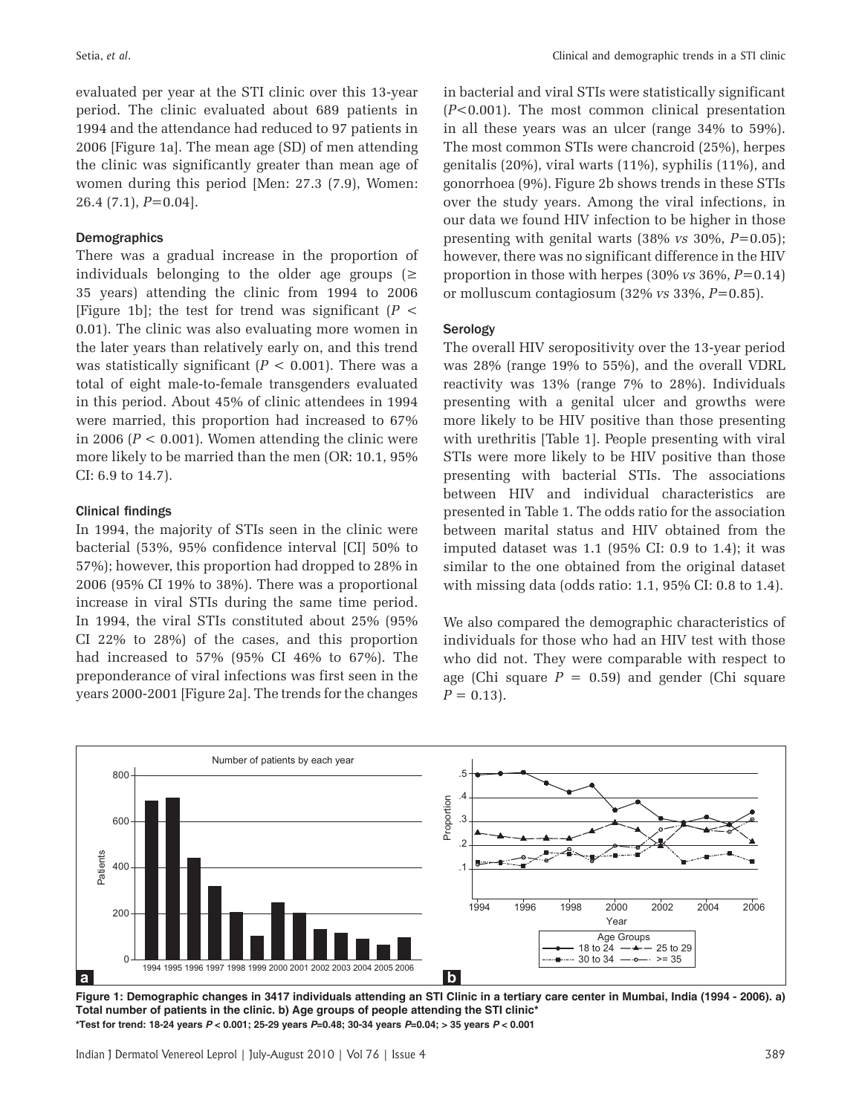evaluated per year at the STI clinic over this 13-year period. The clinic evaluated about 689 patients in 1994 and the attendance had reduced to 97 patients in 2006 [Figure 1a]. The mean age (SD) of men attending the clinic was significantly greater than mean age of women during this period [Men: 27.3 (7.9), Women: 26.4 (7.1), *P*=0.04].

## Demographics

There was a gradual increase in the proportion of individuals belonging to the older age groups  $(\geq$ 35 years) attending the clinic from 1994 to 2006 [Figure 1b]; the test for trend was significant  $(P \leq$ 0.01). The clinic was also evaluating more women in the later years than relatively early on, and this trend was statistically significant  $(P < 0.001)$ . There was a total of eight male-to-female transgenders evaluated in this period. About 45% of clinic attendees in 1994 were married, this proportion had increased to 67% in 2006 ( $P < 0.001$ ). Women attending the clinic were more likely to be married than the men (OR: 10.1, 95% CI: 6.9 to 14.7).

#### Clinical findings

In 1994, the majority of STIs seen in the clinic were bacterial (53%, 95% confidence interval [CI] 50% to 57%); however, this proportion had dropped to 28% in 2006 (95% CI 19% to 38%). There was a proportional increase in viral STIs during the same time period. In 1994, the viral STIs constituted about 25% (95% CI 22% to 28%) of the cases, and this proportion had increased to 57% (95% CI 46% to 67%). The preponderance of viral infections was first seen in the years 2000-2001 [Figure 2a]. The trends for the changes in bacterial and viral STIs were statistically significant (*P*<0.001). The most common clinical presentation in all these years was an ulcer (range 34% to 59%). The most common STIs were chancroid (25%), herpes genitalis (20%), viral warts (11%), syphilis (11%), and gonorrhoea (9%). Figure 2b shows trends in these STIs over the study years. Among the viral infections, in our data we found HIV infection to be higher in those presenting with genital warts (38% *vs* 30%, *P*=0.05); however, there was no significant difference in the HIV proportion in those with herpes (30% *vs* 36%, *P*=0.14) or molluscum contagiosum (32% *vs* 33%, *P*=0.85).

#### Serology

The overall HIV seropositivity over the 13-year period was 28% (range 19% to 55%), and the overall VDRL reactivity was 13% (range 7% to 28%). Individuals presenting with a genital ulcer and growths were more likely to be HIV positive than those presenting with urethritis [Table 1]. People presenting with viral STIs were more likely to be HIV positive than those presenting with bacterial STIs. The associations between HIV and individual characteristics are presented in Table 1. The odds ratio for the association between marital status and HIV obtained from the imputed dataset was 1.1 (95% CI: 0.9 to 1.4); it was similar to the one obtained from the original dataset with missing data (odds ratio: 1.1, 95% CI: 0.8 to 1.4).

We also compared the demographic characteristics of individuals for those who had an HIV test with those who did not. They were comparable with respect to age (Chi square  $P = 0.59$ ) and gender (Chi square  $P = 0.13$ .



**Figure 1: Demographic changes in 3417 individuals attending an STI Clinic in a tertiary care center in Mumbai, India (1994 - 2006). a) Total number of patients in the clinic. b) Age groups of people attending the STI clinic\* \*Test for trend: 18-24 years** *P* **< 0.001; 25-29 years** *P***=0.48; 30-34 years** *P***=0.04; > 35 years** *P* **< 0.001**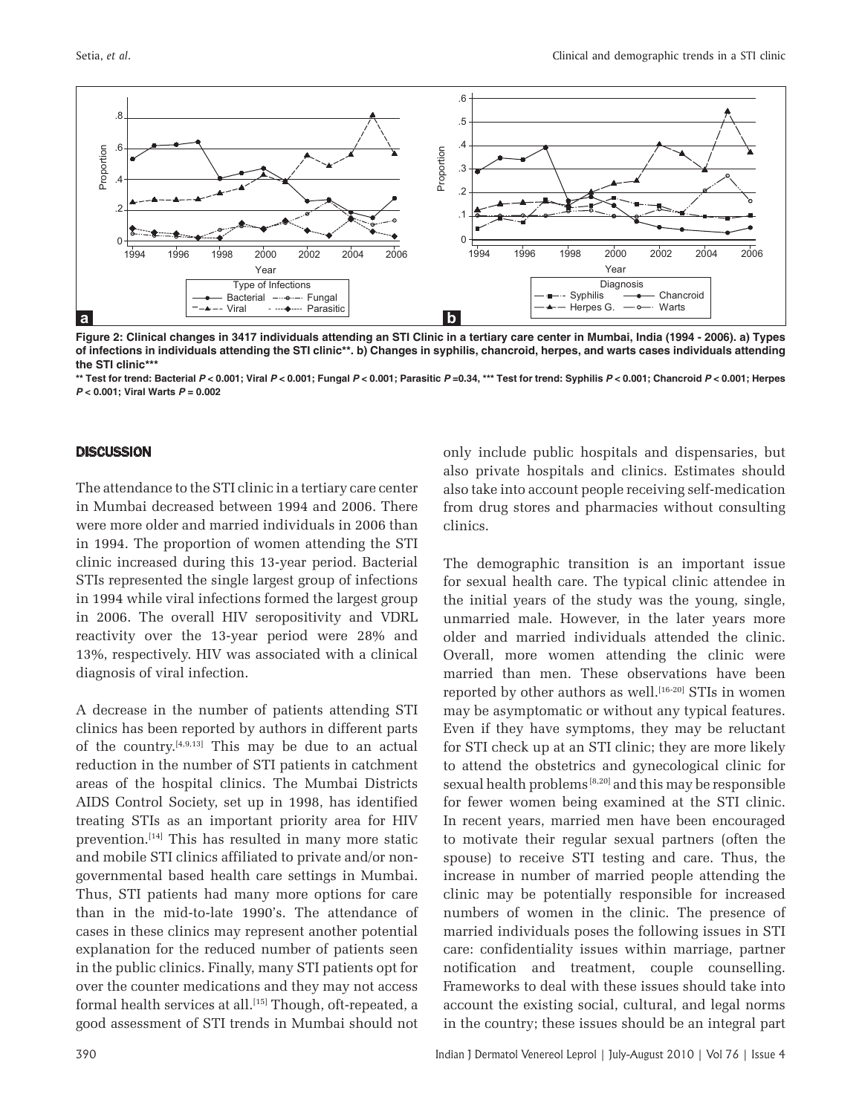

**Figure 2: Clinical changes in 3417 individuals attending an STI Clinic in a tertiary care center in Mumbai, India (1994 - 2006). a) Types of infections in individuals attending the STI clinic\*\*. b) Changes in syphilis, chancroid, herpes, and warts cases individuals attending the STI clinic\*\*\***

\*\* Test for trend: Bacterial P < 0.001; Viral P < 0.001; Fungal P < 0.001; Parasitic P=0.34, \*\*\* Test for trend: Syphilis P < 0.001; Chancroid P < 0.001; Herpes *P* **< 0.001; Viral Warts** *P* **= 0.002**

## **DISCUSSION**

The attendance to the STI clinic in a tertiary care center in Mumbai decreased between 1994 and 2006. There were more older and married individuals in 2006 than in 1994. The proportion of women attending the STI clinic increased during this 13-year period. Bacterial STIs represented the single largest group of infections in 1994 while viral infections formed the largest group in 2006. The overall HIV seropositivity and VDRL reactivity over the 13-year period were 28% and 13%, respectively. HIV was associated with a clinical diagnosis of viral infection.

A decrease in the number of patients attending STI clinics has been reported by authors in different parts of the country.<sup>[4,9,13]</sup> This may be due to an actual reduction in the number of STI patients in catchment areas of the hospital clinics. The Mumbai Districts AIDS Control Society, set up in 1998, has identified treating STIs as an important priority area for HIV prevention.[14] This has resulted in many more static and mobile STI clinics affiliated to private and/or nongovernmental based health care settings in Mumbai. Thus, STI patients had many more options for care than in the mid-to-late 1990's. The attendance of cases in these clinics may represent another potential explanation for the reduced number of patients seen in the public clinics. Finally, many STI patients opt for over the counter medications and they may not access formal health services at all.<sup>[15]</sup> Though, oft-repeated, a good assessment of STI trends in Mumbai should not only include public hospitals and dispensaries, but also private hospitals and clinics. Estimates should also take into account people receiving self-medication from drug stores and pharmacies without consulting clinics.

The demographic transition is an important issue for sexual health care. The typical clinic attendee in the initial years of the study was the young, single, unmarried male. However, in the later years more older and married individuals attended the clinic. Overall, more women attending the clinic were married than men. These observations have been reported by other authors as well.<sup>[16-20]</sup> STIs in women may be asymptomatic or without any typical features. Even if they have symptoms, they may be reluctant for STI check up at an STI clinic; they are more likely to attend the obstetrics and gynecological clinic for sexual health problems [8,20] and this may be responsible for fewer women being examined at the STI clinic. In recent years, married men have been encouraged to motivate their regular sexual partners (often the spouse) to receive STI testing and care. Thus, the increase in number of married people attending the clinic may be potentially responsible for increased numbers of women in the clinic. The presence of married individuals poses the following issues in STI care: confidentiality issues within marriage, partner notification and treatment, couple counselling. Frameworks to deal with these issues should take into account the existing social, cultural, and legal norms in the country; these issues should be an integral part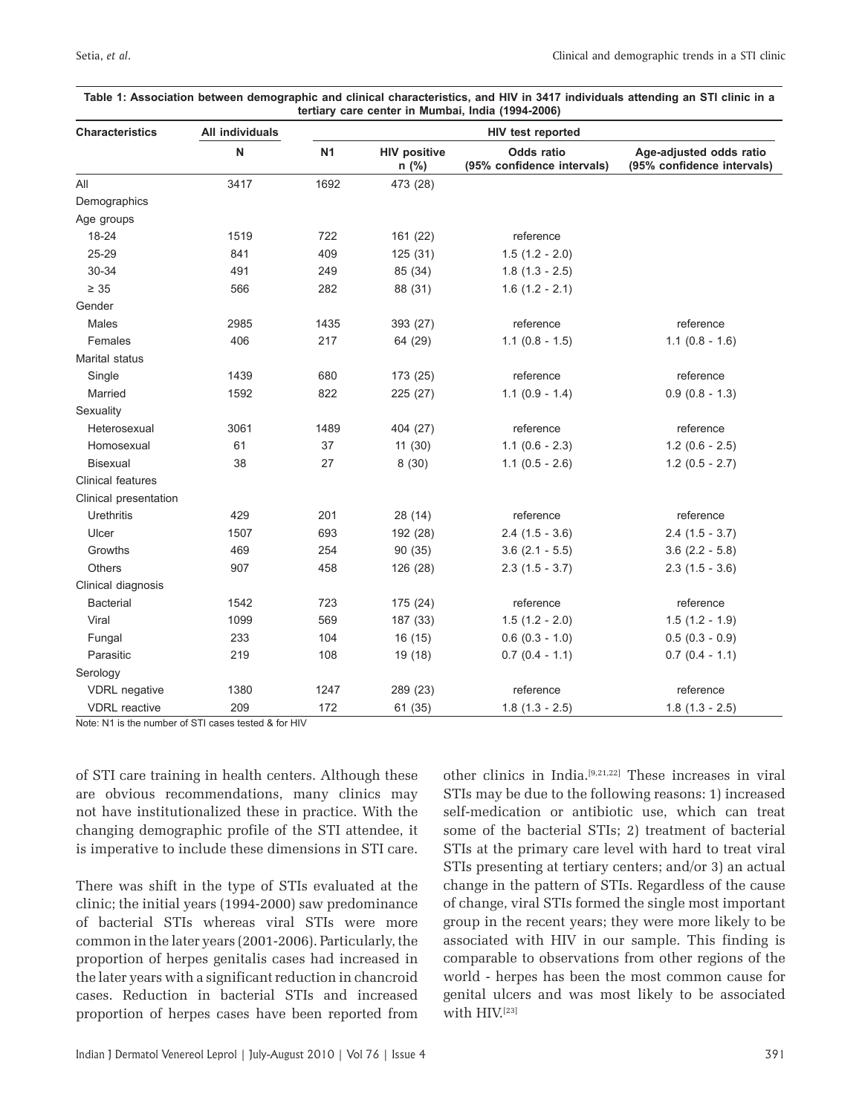| <b>Characteristics</b>   | All individuals<br>${\sf N}$ | <b>HIV test reported</b> |                              |                                                 |                                                       |
|--------------------------|------------------------------|--------------------------|------------------------------|-------------------------------------------------|-------------------------------------------------------|
|                          |                              | <b>N1</b>                | <b>HIV positive</b><br>n (%) | <b>Odds ratio</b><br>(95% confidence intervals) | Age-adjusted odds ratio<br>(95% confidence intervals) |
| All                      | 3417                         | 1692                     | 473 (28)                     |                                                 |                                                       |
| Demographics             |                              |                          |                              |                                                 |                                                       |
| Age groups               |                              |                          |                              |                                                 |                                                       |
| 18-24                    | 1519                         | 722                      | 161 (22)                     | reference                                       |                                                       |
| 25-29                    | 841                          | 409                      | 125 (31)                     | $1.5(1.2 - 2.0)$                                |                                                       |
| 30-34                    | 491                          | 249                      | 85 (34)                      | $1.8(1.3 - 2.5)$                                |                                                       |
| $\geq 35$                | 566                          | 282                      | 88 (31)                      | $1.6(1.2 - 2.1)$                                |                                                       |
| Gender                   |                              |                          |                              |                                                 |                                                       |
| Males                    | 2985                         | 1435                     | 393 (27)                     | reference                                       | reference                                             |
| Females                  | 406                          | 217                      | 64 (29)                      | $1.1$ (0.8 - 1.5)                               | $1.1 (0.8 - 1.6)$                                     |
| Marital status           |                              |                          |                              |                                                 |                                                       |
| Single                   | 1439                         | 680                      | 173 (25)                     | reference                                       | reference                                             |
| Married                  | 1592                         | 822                      | 225 (27)                     | $1.1 (0.9 - 1.4)$                               | $0.9(0.8 - 1.3)$                                      |
| Sexuality                |                              |                          |                              |                                                 |                                                       |
| Heterosexual             | 3061                         | 1489                     | 404 (27)                     | reference                                       | reference                                             |
| Homosexual               | 61                           | 37                       | 11(30)                       | $1.1 (0.6 - 2.3)$                               | $1.2$ (0.6 - 2.5)                                     |
| <b>Bisexual</b>          | 38                           | 27                       | 8(30)                        | $1.1$ (0.5 - 2.6)                               | $1.2$ (0.5 - 2.7)                                     |
| <b>Clinical features</b> |                              |                          |                              |                                                 |                                                       |
| Clinical presentation    |                              |                          |                              |                                                 |                                                       |
| Urethritis               | 429                          | 201                      | 28 (14)                      | reference                                       | reference                                             |
| Ulcer                    | 1507                         | 693                      | 192 (28)                     | $2.4$ (1.5 - 3.6)                               | $2.4$ (1.5 - 3.7)                                     |
| Growths                  | 469                          | 254                      | 90 (35)                      | $3.6$ (2.1 - 5.5)                               | $3.6$ (2.2 - 5.8)                                     |
| Others                   | 907                          | 458                      | 126 (28)                     | $2.3(1.5 - 3.7)$                                | $2.3(1.5 - 3.6)$                                      |
| Clinical diagnosis       |                              |                          |                              |                                                 |                                                       |
| <b>Bacterial</b>         | 1542                         | 723                      | 175 (24)                     | reference                                       | reference                                             |
| Viral                    | 1099                         | 569                      | 187 (33)                     | $1.5(1.2 - 2.0)$                                | $1.5(1.2 - 1.9)$                                      |
| Fungal                   | 233                          | 104                      | 16 (15)                      | $0.6$ (0.3 - 1.0)                               | $0.5(0.3 - 0.9)$                                      |
| Parasitic                | 219                          | 108                      | 19 (18)                      | $0.7(0.4 - 1.1)$                                | $0.7(0.4 - 1.1)$                                      |
| Serology                 |                              |                          |                              |                                                 |                                                       |
| <b>VDRL</b> negative     | 1380                         | 1247                     | 289 (23)                     | reference                                       | reference                                             |
| <b>VDRL</b> reactive     | 209                          | 172                      | 61 (35)                      | $1.8(1.3 - 2.5)$                                | $1.8(1.3 - 2.5)$                                      |

#### **Table 1: Association between demographic and clinical characteristics, and HIV in 3417 individuals attending an STI clinic in a tertiary care center in Mumbai, India (1994-2006)**

Note: N1 is the number of STI cases tested & for HIV

of STI care training in health centers. Although these are obvious recommendations, many clinics may not have institutionalized these in practice. With the changing demographic profile of the STI attendee, it is imperative to include these dimensions in STI care.

There was shift in the type of STIs evaluated at the clinic; the initial years (1994-2000) saw predominance of bacterial STIs whereas viral STIs were more common in the later years (2001-2006). Particularly, the proportion of herpes genitalis cases had increased in the later years with a significant reduction in chancroid cases. Reduction in bacterial STIs and increased proportion of herpes cases have been reported from other clinics in India.[9,21,22] These increases in viral STIs may be due to the following reasons: 1) increased self-medication or antibiotic use, which can treat some of the bacterial STIs; 2) treatment of bacterial STIs at the primary care level with hard to treat viral STIs presenting at tertiary centers; and/or 3) an actual change in the pattern of STIs. Regardless of the cause of change, viral STIs formed the single most important group in the recent years; they were more likely to be associated with HIV in our sample. This finding is comparable to observations from other regions of the world - herpes has been the most common cause for genital ulcers and was most likely to be associated with HIV.<sup>[23]</sup>